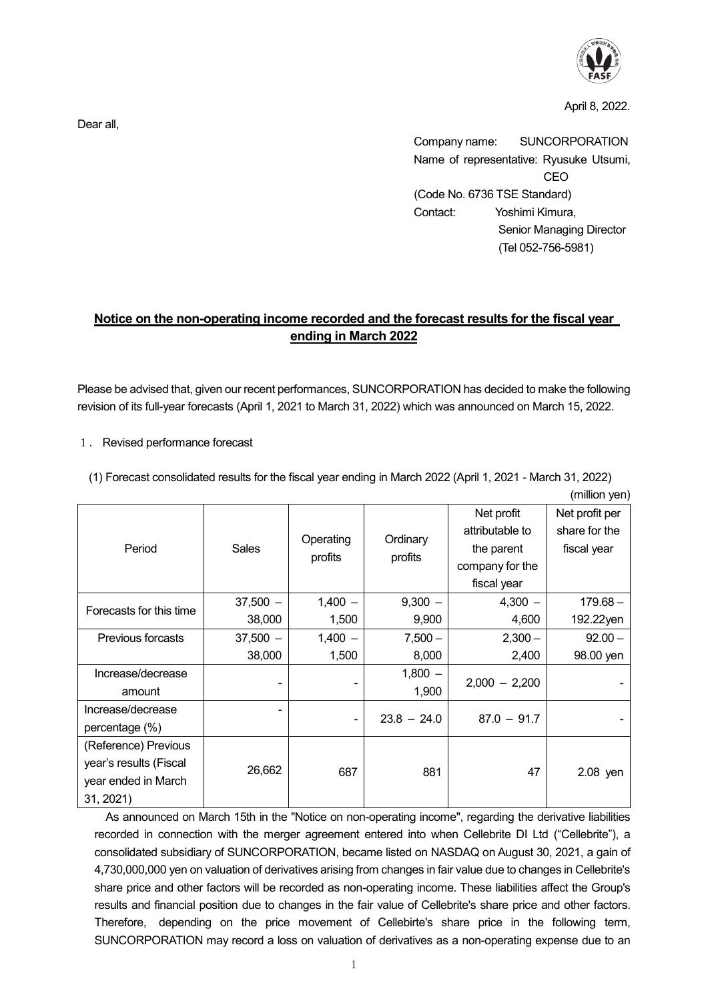

April 8, 2022.

Company name: SUNCORPORATION Name of representative: Ryusuke Utsumi, CEO (Code No. 6736 TSE Standard) Contact: Yoshimi Kimura, Senior Managing Director (Tel 052-756-5981)

## **Notice on the non-operating income recorded and the forecast results for the fiscal year ending in March 2022**

Please be advised that, given our recent performances, SUNCORPORATION has decided to make the following revision of its full-year forecasts (April 1, 2021 to March 31, 2022) which was announced on March 15, 2022.

1. Revised performance forecast

|                         |              |                      |                     | Net profit      | Net profit per |
|-------------------------|--------------|----------------------|---------------------|-----------------|----------------|
| Period                  | <b>Sales</b> | Operating<br>profits | Ordinary<br>profits | attributable to | share for the  |
|                         |              |                      |                     | the parent      | fiscal year    |
|                         |              |                      |                     | company for the |                |
|                         |              |                      |                     | fiscal year     |                |
| Forecasts for this time | $37,500 -$   | $1,400 -$            | $9,300 -$           | $4,300 -$       | $179.68 -$     |
|                         | 38,000       | 1,500                | 9,900               | 4,600           | 192.22yen      |
| Previous forcasts       | $37,500 -$   | $1,400 -$            | $7,500 -$           | $2,300 -$       | $92.00 -$      |
|                         | 38,000       | 1,500                | 8,000               | 2,400           | 98.00 yen      |
| Increase/decrease       |              |                      | $1,800 -$           | $2,000 - 2,200$ |                |
| amount                  |              |                      | 1,900               |                 |                |
| Increase/decrease       |              | $\blacksquare$       | $23.8 - 24.0$       | $87.0 - 91.7$   |                |
| percentage (%)          |              |                      |                     |                 |                |
| (Reference) Previous    |              |                      |                     |                 |                |
| year's results (Fiscal  | 26,662       | 687                  | 881                 | 47              | 2.08 yen       |
| year ended in March     |              |                      |                     |                 |                |
| 31, 2021)               |              |                      |                     |                 |                |

(1) Forecast consolidated results for the fiscal year ending in March 2022 (April 1, 2021 - March 31, 2022)

 $(m:10)$  and yen  $\lambda$ 

As announced on March 15th in the "Notice on non-operating income", regarding the derivative liabilities recorded in connection with the merger agreement entered into when Cellebrite DI Ltd ("Cellebrite"), a consolidated subsidiary of SUNCORPORATION, became listed on NASDAQ on August 30, 2021, a gain of 4,730,000,000 yen on valuation of derivatives arising from changes in fair value due to changes in Cellebrite's share price and other factors will be recorded as non-operating income. These liabilities affect the Group's results and financial position due to changes in the fair value of Cellebrite's share price and other factors. Therefore, depending on the price movement of Cellebirte's share price in the following term, SUNCORPORATION may record a loss on valuation of derivatives as a non-operating expense due to an

Dear all,